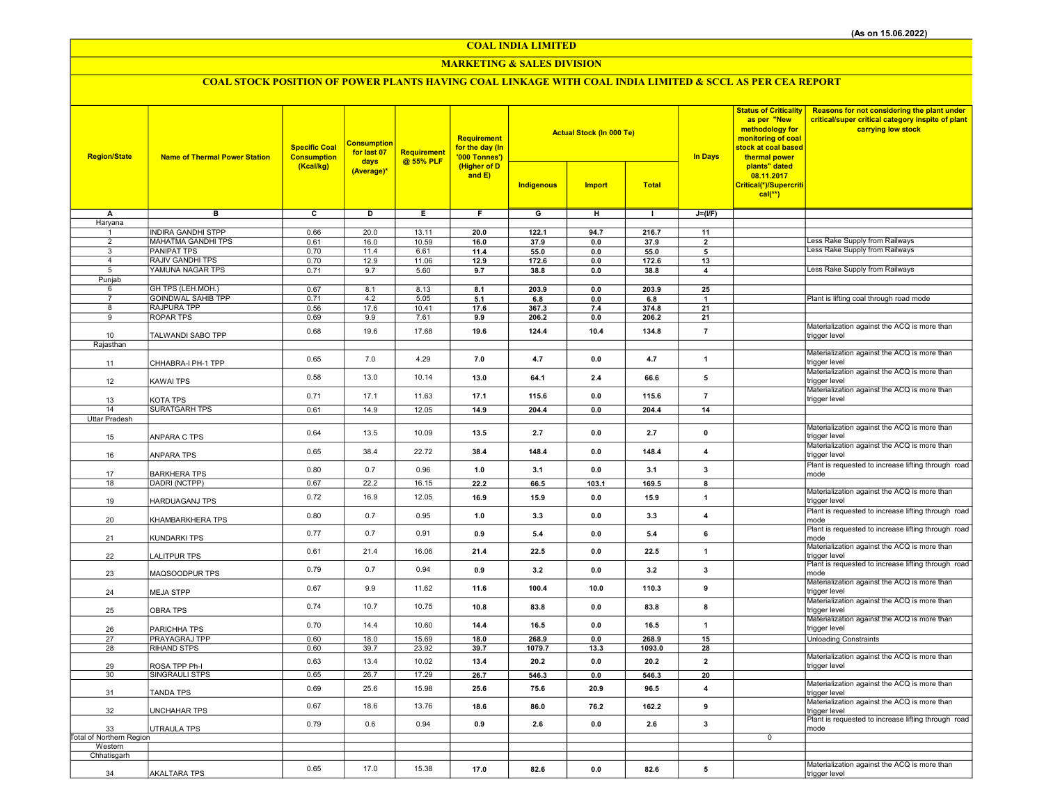COAL INDIA LIMITED

## MARKETING & SALES DIVISION

# COAL STOCK POSITION OF POWER PLANTS HAVING COAL LINKAGE WITH COAL INDIA LIMITED & SCCL AS PER CEA REPORT

| <b>Region/State</b>      | <b>Name of Thermal Power Station</b>   | <b>Specific Coal</b><br><b>Consumption</b><br>(Kcal/kg) | <b>Consumption</b><br>for last 07<br>days | Requirement<br>@ 55% PLF | Requirement<br>for the day (In<br>'000 Tonnes')<br>(Higher of D<br>and $E$ ) |                         | <b>Actual Stock (In 000 Te)</b> |              | <b>In Days</b>          | <b>Status of Criticality</b><br>as per "New<br>methodology for<br>monitoring of coal<br>stock at coal based<br>thermal power | <b>Reasons for not considering the plant under</b><br>critical/super critical category inspite of plant<br>carrying low stock |
|--------------------------|----------------------------------------|---------------------------------------------------------|-------------------------------------------|--------------------------|------------------------------------------------------------------------------|-------------------------|---------------------------------|--------------|-------------------------|------------------------------------------------------------------------------------------------------------------------------|-------------------------------------------------------------------------------------------------------------------------------|
|                          |                                        |                                                         | (Average)*                                |                          |                                                                              | Indigenous              | <b>Import</b>                   | <b>Total</b> |                         | plants" dated<br>08.11.2017<br>Critical(*)/Supercriti<br>$cal(**)$                                                           |                                                                                                                               |
| A                        | $\overline{B}$                         | $\overline{\mathbf{c}}$                                 | ъ                                         | Έ                        | F                                                                            | $\overline{\mathsf{G}}$ | $\overline{H}$                  | $\mathbf{L}$ | $J=(I/F)$               |                                                                                                                              |                                                                                                                               |
| Haryana<br>1             | <b>INDIRA GANDHI STPP</b>              | 0.66                                                    | 20.0                                      | 13.11                    | 20.0                                                                         | 122.1                   | 94.7                            | 216.7        | 11                      |                                                                                                                              |                                                                                                                               |
| $\overline{2}$           | MAHATMA GANDHI TPS                     | 0.61                                                    | 16.0                                      | 10.59                    | 16.0                                                                         | 37.9                    | 0.0                             | 37.9         | $\overline{2}$          |                                                                                                                              | ess Rake Supply from Railways                                                                                                 |
| 3                        | <b>PANIPAT TPS</b>                     | 0.70                                                    | 11.4                                      | 6.61                     | 11.4                                                                         | 55.0                    | 0.0                             | 55.0         | 5                       |                                                                                                                              | Less Rake Supply from Railways                                                                                                |
| $\overline{4}$           | <b>RAJIV GANDHI TPS</b>                | 0.70                                                    | 12.9                                      | 11.06                    | 12.9                                                                         | 172.6                   | $0.0\,$                         | 172.6        | 13                      |                                                                                                                              | Less Rake Supply from Railways                                                                                                |
| 5<br>Punjab              | YAMUNA NAGAR TPS                       | 0.71                                                    | 9.7                                       | 5.60                     | 9.7                                                                          | 38.8                    | 0.0                             | 38.8         | 4                       |                                                                                                                              |                                                                                                                               |
| 6                        | GH TPS (LEH.MOH.)                      | 0.67                                                    | 8.1                                       | 8.13                     | 8.1                                                                          | 203.9                   | 0.0                             | 203.9        | 25                      |                                                                                                                              |                                                                                                                               |
| $\overline{7}$           | <b>GOINDWAL SAHIB TPP</b>              | 0.71                                                    | 4.2                                       | 5.05                     | 5.1                                                                          | 6.8                     | 0.0                             | 6.8          | -1                      |                                                                                                                              | Plant is lifting coal through road mode                                                                                       |
| 8<br>9                   | <b>RAJPURA TPP</b><br><b>ROPAR TPS</b> | 0.56                                                    | 17.6<br>9.9                               | 10.41                    | 17.6                                                                         | 367.3                   | 7.4                             | 374.8        | 21                      |                                                                                                                              |                                                                                                                               |
|                          |                                        | 0.69                                                    |                                           | 7.61                     | 9.9                                                                          | 206.2                   | 0.0                             | 206.2        | 21                      |                                                                                                                              | Materialization against the ACQ is more than                                                                                  |
| 10                       | TALWANDI SABO TPP                      | 0.68                                                    | 19.6                                      | 17.68                    | 19.6                                                                         | 124.4                   | 10.4                            | 134.8        | $\overline{7}$          |                                                                                                                              | trigger level                                                                                                                 |
| Rajasthan                |                                        |                                                         |                                           |                          |                                                                              |                         |                                 |              |                         |                                                                                                                              |                                                                                                                               |
| 11                       | CHHABRA-I PH-1 TPP                     | 0.65                                                    | 7.0                                       | 4.29                     | 7.0                                                                          | 4.7                     | 0.0                             | 4.7          | $\mathbf{1}$            |                                                                                                                              | Materialization against the ACQ is more than<br>trigger level                                                                 |
| 12                       | KAWAI TPS                              | 0.58                                                    | 13.0                                      | 10.14                    | 13.0                                                                         | 64.1                    | 2.4                             | 66.6         | 5                       |                                                                                                                              | Materialization against the ACQ is more than<br>trigger level                                                                 |
| 13                       | KOTA TPS                               | 0.71                                                    | 17.1                                      | 11.63                    | 17.1                                                                         | 115.6                   | 0.0                             | 115.6        | $\overline{7}$          |                                                                                                                              | Materialization against the ACQ is more than<br>trigger level                                                                 |
| 14                       | <b>SURATGARH TPS</b>                   | 0.61                                                    | 14.9                                      | 12.05                    | 14.9                                                                         | 204.4                   | 0.0                             | 204.4        | 14                      |                                                                                                                              |                                                                                                                               |
| Uttar Pradesh            |                                        |                                                         |                                           |                          |                                                                              |                         |                                 |              |                         |                                                                                                                              | Materialization against the ACQ is more than                                                                                  |
| 15                       | ANPARA C TPS                           | 0.64                                                    | 13.5                                      | 10.09                    | 13.5                                                                         | 2.7                     | 0.0                             | 2.7          | $\pmb{0}$               |                                                                                                                              | trigger level<br>Materialization against the ACQ is more than                                                                 |
| 16                       | ANPARA TPS                             | 0.65                                                    | 38.4                                      | 22.72                    | 38.4                                                                         | 148.4                   | 0.0                             | 148.4        | $\overline{4}$          |                                                                                                                              | trigger level                                                                                                                 |
| 17                       | <b>BARKHERA TPS</b>                    | 0.80                                                    | 0.7                                       | 0.96                     | 1.0                                                                          | 3.1                     | 0.0                             | 3.1          | $\mathbf{3}$            |                                                                                                                              | Plant is requested to increase lifting through road<br>mode                                                                   |
| 18                       | DADRI (NCTPP)                          | 0.67                                                    | 22.2                                      | 16.15                    | 22.2                                                                         | 66.5                    | 103.1                           | 169.5        | 8                       |                                                                                                                              |                                                                                                                               |
| 19                       | HARDUAGANJ TPS                         | 0.72                                                    | 16.9                                      | 12.05                    | 16.9                                                                         | 15.9                    | 0.0                             | 15.9         | $\mathbf{1}$            |                                                                                                                              | Materialization against the ACQ is more than<br>trigger level                                                                 |
| 20                       | KHAMBARKHERA TPS                       | 0.80                                                    | 0.7                                       | 0.95                     | 1.0                                                                          | 3.3                     | 0.0                             | 3.3          | $\overline{\mathbf{4}}$ |                                                                                                                              | Plant is requested to increase lifting through road<br>mode                                                                   |
| 21                       | KUNDARKI TPS                           | 0.77                                                    | 0.7                                       | 0.91                     | 0.9                                                                          | 5.4                     | 0.0                             | 5.4          | 6                       |                                                                                                                              | Plant is requested to increase lifting through road<br>mode                                                                   |
| 22                       | LALITPUR TPS                           | 0.61                                                    | 21.4                                      | 16.06                    | 21.4                                                                         | 22.5                    | 0.0                             | 22.5         | $\mathbf{1}$            |                                                                                                                              | Materialization against the ACQ is more than<br>trigger level<br>Plant is requested to increase lifting through road          |
| 23                       | MAQSOODPUR TPS                         | 0.79                                                    | 0.7                                       | 0.94                     | 0.9                                                                          | 3.2                     | 0.0                             | 3.2          | 3                       |                                                                                                                              | mode<br>Materialization against the ACQ is more than                                                                          |
| 24                       | <b>MEJA STPP</b>                       | 0.67                                                    | 9.9                                       | 11.62                    | 11.6                                                                         | 100.4                   | 10.0                            | 110.3        | $\boldsymbol{9}$        |                                                                                                                              | trigger level<br>Materialization against the ACQ is more than                                                                 |
| 25                       | <b>OBRA TPS</b>                        | 0.74                                                    | 10.7                                      | 10.75                    | 10.8                                                                         | 83.8                    | 0.0                             | 83.8         | 8                       |                                                                                                                              | trigger level<br>Materialization against the ACQ is more than                                                                 |
| 26                       | PARICHHA TPS                           | 0.70                                                    | 14.4                                      | 10.60                    | 14.4                                                                         | 16.5                    | 0.0                             | 16.5         | $\mathbf{1}$            |                                                                                                                              | trigger level                                                                                                                 |
| 27                       | PRAYAGRAJ TPP                          | 0.60                                                    | 18.0                                      | 15.69                    | 18.0                                                                         | 268.9                   | 0.0                             | 268.9        | 15                      |                                                                                                                              | <b>Unloading Constraints</b>                                                                                                  |
| 28                       | <b>RIHAND STPS</b>                     | 0.60                                                    | 39.7                                      | 23.92                    | 39.7                                                                         | 1079.7                  | 13.3                            | 1093.0       | 28                      |                                                                                                                              | Materialization against the ACQ is more than                                                                                  |
| 29                       | ROSA TPP Ph-I                          | 0.63                                                    | 13.4                                      | 10.02                    | 13.4                                                                         | 20.2                    | 0.0                             | 20.2         | $\overline{2}$          |                                                                                                                              | trigger level                                                                                                                 |
| 30                       | SINGRAULI STPS                         | 0.65                                                    | 26.7                                      | 17.29                    | 26.7                                                                         | 546.3                   | 0.0                             | 546.3        | 20                      |                                                                                                                              |                                                                                                                               |
| 31                       | TANDA TPS                              | 0.69                                                    | 25.6                                      | 15.98                    | 25.6                                                                         | 75.6                    | 20.9                            | 96.5         | $\overline{\mathbf{4}}$ |                                                                                                                              | Materialization against the ACQ is more than<br>trigger level<br>Materialization against the ACQ is more than                 |
| 32                       | <b>UNCHAHAR TPS</b>                    | 0.67                                                    | 18.6                                      | 13.76                    | 18.6                                                                         | 86.0                    | 76.2                            | 162.2        | 9                       |                                                                                                                              | trigger level<br>Plant is requested to increase lifting through road                                                          |
| 33                       | UTRAULA TPS                            | 0.79                                                    | 0.6                                       | 0.94                     | 0.9                                                                          | 2.6                     | 0.0                             | 2.6          | 3                       |                                                                                                                              | mode                                                                                                                          |
| Total of Northern Region |                                        |                                                         |                                           |                          |                                                                              |                         |                                 |              |                         | $\mathbf 0$                                                                                                                  |                                                                                                                               |
| Western<br>Chhatisgarh   |                                        |                                                         |                                           |                          |                                                                              |                         |                                 |              |                         |                                                                                                                              |                                                                                                                               |
|                          |                                        | 0.65                                                    | 17.0                                      | 15.38                    |                                                                              |                         |                                 |              |                         |                                                                                                                              | Materialization against the ACQ is more than                                                                                  |
| 34                       | <b>AKALTARA TPS</b>                    |                                                         |                                           |                          | 17.0                                                                         | 82.6                    | 0.0                             | 82.6         | 5                       |                                                                                                                              | trigger level                                                                                                                 |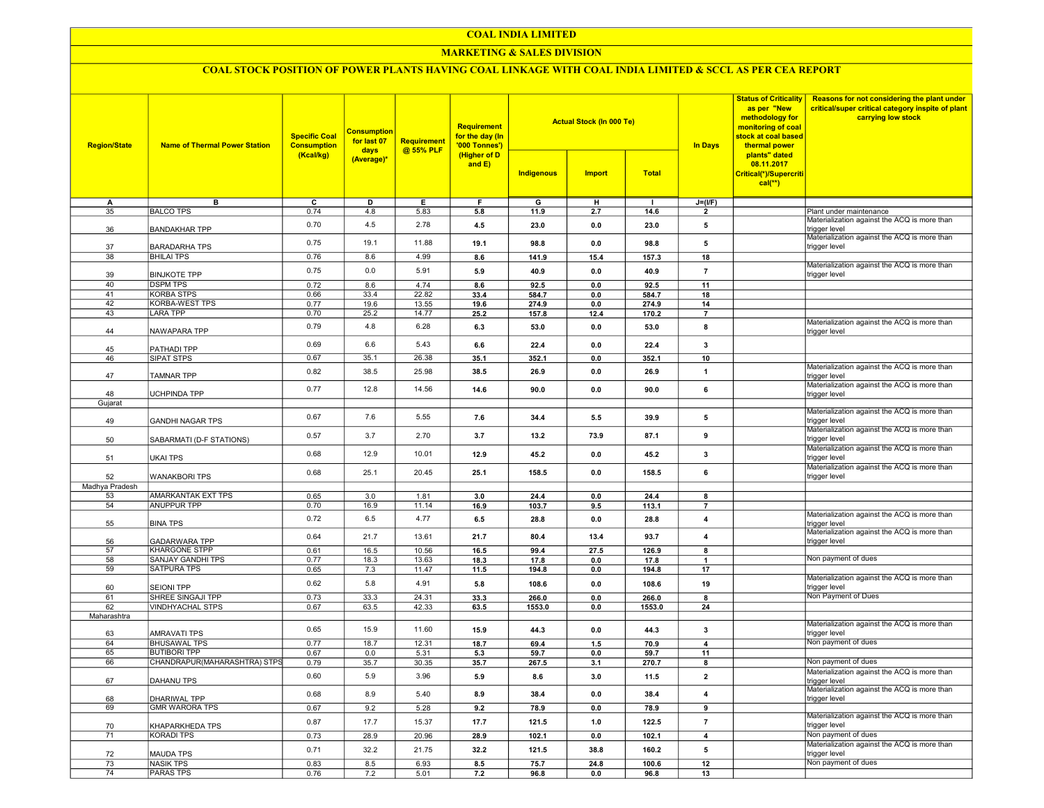#### COAL INDIA LIMITED

#### MARKETING & SALES DIVISION

# COAL STOCK POSITION OF POWER PLANTS HAVING COAL LINKAGE WITH COAL INDIA LIMITED & SCCL AS PER CEA REPORT

| <b>Region/State</b>   | <b>Name of Thermal Power Station</b>         | <b>Specific Coal</b><br><b>Consumption</b><br>(Kcal/kg) | <b>Consumption</b><br>for last 07<br>days<br>(Average)* | Requirement<br>@ 55% PLF | Requirement<br>for the day (In<br>'000 Tonnes')<br>(Higher of D<br>and E) |               | <b>Actual Stock (In 000 Te)</b> |               | <b>Status of Criticality</b><br>as per "New<br>methodology for<br>monitoring of coal<br>stock at coal based<br><b>In Days</b><br>thermal power | Reasons for not considering the plant under<br>critical/super critical category inspite of plant<br>carrying low stock |                                                                                                               |
|-----------------------|----------------------------------------------|---------------------------------------------------------|---------------------------------------------------------|--------------------------|---------------------------------------------------------------------------|---------------|---------------------------------|---------------|------------------------------------------------------------------------------------------------------------------------------------------------|------------------------------------------------------------------------------------------------------------------------|---------------------------------------------------------------------------------------------------------------|
|                       |                                              |                                                         |                                                         |                          |                                                                           | Indigenous    | <b>Import</b>                   | <b>Total</b>  |                                                                                                                                                | plants" dated<br>08.11.2017<br>Critical(*)/Supercriti<br>$cal(**)$                                                     |                                                                                                               |
| А                     | в                                            | $\overline{c}$                                          | D                                                       | E                        | F                                                                         | G             | н                               |               | $J=(I/F)$                                                                                                                                      |                                                                                                                        |                                                                                                               |
| 35                    | <b>BALCO TPS</b>                             | 0.74                                                    | 4.8                                                     | 5.83                     | 5.8                                                                       | 11.9          | 2.7                             | 14.6          | $\overline{2}$                                                                                                                                 |                                                                                                                        | Plant under maintenance                                                                                       |
| 36                    | <b>BANDAKHAR TPP</b>                         | 0.70                                                    | 4.5                                                     | 2.78                     | 4.5                                                                       | 23.0          | 0.0                             | 23.0          | 5                                                                                                                                              |                                                                                                                        | Materialization against the ACQ is more than<br>trigger level<br>Materialization against the ACQ is more than |
| 37                    | <b>BARADARHA TPS</b>                         | 0.75                                                    | 19.1                                                    | 11.88                    | 19.1                                                                      | 98.8          | 0.0                             | 98.8          | 5                                                                                                                                              |                                                                                                                        | trigger level                                                                                                 |
| 38                    | <b>BHILAI TPS</b>                            | 0.76                                                    | 8.6                                                     | 4.99                     | 8.6                                                                       | 141.9         | 15.4                            | 157.3         | 18                                                                                                                                             |                                                                                                                        | Materialization against the ACQ is more than                                                                  |
| 39<br>40              | <b>BINJKOTE TPP</b><br><b>DSPM TPS</b>       | 0.75<br>0.72                                            | 0.0<br>8.6                                              | 5.91<br>4.74             | 5.9<br>8.6                                                                | 40.9<br>92.5  | 0.0<br>0.0                      | 40.9<br>92.5  | $\overline{7}$<br>11                                                                                                                           |                                                                                                                        | trigger level                                                                                                 |
| 41                    | <b>KORBA STPS</b>                            | 0.66                                                    | 33.4                                                    | 22.82                    | 33.4                                                                      | 584.7         | 0.0                             | 584.7         | 18                                                                                                                                             |                                                                                                                        |                                                                                                               |
| $\overline{42}$       | <b>KORBA-WEST TPS</b>                        | 0.77                                                    | 19.6                                                    | 13.55                    | 19.6                                                                      | 274.9         | 0.0                             | 274.9         | 14                                                                                                                                             |                                                                                                                        |                                                                                                               |
| 43                    | <b>LARA TPP</b>                              | 0.70                                                    | 25.2                                                    | 14.77                    | 25.2                                                                      | 157.8         | 12.4                            | 170.2         | $\overline{7}$                                                                                                                                 |                                                                                                                        |                                                                                                               |
| 44                    | NAWAPARA TPP                                 | 0.79                                                    | 4.8                                                     | 6.28                     | 6.3                                                                       | 53.0          | 0.0                             | 53.0          | 8                                                                                                                                              |                                                                                                                        | Materialization against the ACQ is more than<br>trigger level                                                 |
| 45                    | PATHADI TPP                                  | 0.69                                                    | 6.6                                                     | 5.43                     | 6.6                                                                       | 22.4          | 0.0                             | 22.4          | $\mathbf{3}$                                                                                                                                   |                                                                                                                        |                                                                                                               |
| 46                    | SIPAT STPS                                   | 0.67                                                    | 35.1                                                    | 26.38                    | 35.1                                                                      | 352.1         | 0.0                             | 352.1         | 10                                                                                                                                             |                                                                                                                        |                                                                                                               |
| 47                    | <b>TAMNAR TPP</b>                            | 0.82                                                    | 38.5                                                    | 25.98                    | 38.5                                                                      | 26.9          | 0.0                             | 26.9          | $\mathbf{1}$                                                                                                                                   |                                                                                                                        | Materialization against the ACQ is more than<br>trigger level                                                 |
|                       |                                              | 0.77                                                    | 12.8                                                    | 14.56                    | 14.6                                                                      | 90.0          | 0.0                             | 90.0          | $\bf{6}$                                                                                                                                       |                                                                                                                        | Materialization against the ACQ is more than                                                                  |
| 48                    | UCHPINDA TPP                                 |                                                         |                                                         |                          |                                                                           |               |                                 |               |                                                                                                                                                |                                                                                                                        | trigger level                                                                                                 |
| Gujarat               |                                              |                                                         |                                                         |                          |                                                                           |               |                                 |               |                                                                                                                                                |                                                                                                                        | Materialization against the ACQ is more than                                                                  |
| 49                    | <b>GANDHI NAGAR TPS</b>                      | 0.67                                                    | 7.6                                                     | 5.55                     | 7.6                                                                       | 34.4          | 5.5                             | 39.9          | 5                                                                                                                                              |                                                                                                                        | rigger level<br>Materialization against the ACQ is more than                                                  |
| 50                    | SABARMATI (D-F STATIONS)                     | 0.57                                                    | 3.7                                                     | 2.70                     | 3.7                                                                       | 13.2          | 73.9                            | 87.1          | 9                                                                                                                                              |                                                                                                                        | trigger level                                                                                                 |
| 51                    | <b>UKAI TPS</b>                              | 0.68                                                    | 12.9                                                    | 10.01                    | 12.9                                                                      | 45.2          | 0.0                             | 45.2          | 3                                                                                                                                              |                                                                                                                        | Materialization against the ACQ is more than<br>trigger level                                                 |
| 52                    | <b>WANAKBORI TPS</b>                         | 0.68                                                    | 25.1                                                    | 20.45                    | 25.1                                                                      | 158.5         | 0.0                             | 158.5         | 6                                                                                                                                              |                                                                                                                        | Materialization against the ACQ is more than<br>trigger level                                                 |
| Madhya Pradesh        |                                              |                                                         |                                                         |                          |                                                                           |               |                                 |               |                                                                                                                                                |                                                                                                                        |                                                                                                               |
| 53                    | AMARKANTAK EXT TPS                           | 0.65                                                    | 3.0                                                     | 1.81                     | 3.0                                                                       | 24.4          | 0.0                             | 24.4          | 8                                                                                                                                              |                                                                                                                        |                                                                                                               |
| 54                    | <b>ANUPPUR TPP</b>                           | 0.70<br>0.72                                            | 16.9<br>6.5                                             | 11.14<br>4.77            | 16.9<br>6.5                                                               | 103.7<br>28.8 | 9.5<br>0.0                      | 113.1<br>28.8 | $\overline{7}$<br>$\overline{\mathbf{4}}$                                                                                                      |                                                                                                                        | Materialization against the ACQ is more than                                                                  |
| 55                    | <b>BINA TPS</b>                              | 0.64                                                    | 21.7                                                    | 13.61                    | 21.7                                                                      | 80.4          | 13.4                            | 93.7          | $\overline{\mathbf{4}}$                                                                                                                        |                                                                                                                        | trigger level<br>Materialization against the ACQ is more than                                                 |
| 56<br>$\overline{57}$ | <b>GADARWARA TPP</b><br><b>KHARGONE STPP</b> |                                                         |                                                         |                          |                                                                           |               |                                 |               |                                                                                                                                                |                                                                                                                        | trigger level                                                                                                 |
| 58                    | SANJAY GANDHI TPS                            | 0.61<br>0.77                                            | 16.5<br>18.3                                            | 10.56<br>13.63           | 16.5<br>18.3                                                              | 99.4<br>17.8  | 27.5<br>0.0                     | 126.9<br>17.8 | 8<br>$\overline{\mathbf{1}}$                                                                                                                   |                                                                                                                        | Non payment of dues                                                                                           |
| 59                    | <b>SATPURA TPS</b>                           | 0.65                                                    | 7.3                                                     | 11.47                    | 11.5                                                                      | 194.8         | 0.0                             | 194.8         | 17                                                                                                                                             |                                                                                                                        |                                                                                                               |
| 60                    | <b>SEIONI TPP</b>                            | 0.62                                                    | 5.8                                                     | 4.91                     | 5.8                                                                       | 108.6         | 0.0                             | 108.6         | 19                                                                                                                                             |                                                                                                                        | Materialization against the ACQ is more than<br>trigger level                                                 |
| 61                    | SHREE SINGAJI TPP                            | 0.73                                                    | 33.3                                                    | 24.31                    | 33.3                                                                      | 266.0         | 0.0                             | 266.0         | 8                                                                                                                                              |                                                                                                                        | Non Payment of Dues                                                                                           |
| 62                    | <b>VINDHYACHAL STPS</b>                      | 0.67                                                    | 63.5                                                    | 42.33                    | 63.5                                                                      | 1553.0        | 0.0                             | 1553.0        | 24                                                                                                                                             |                                                                                                                        |                                                                                                               |
| Maharashtra           |                                              |                                                         |                                                         |                          |                                                                           |               |                                 |               |                                                                                                                                                |                                                                                                                        |                                                                                                               |
| 63                    | AMRAVATI TPS                                 | 0.65                                                    | 15.9                                                    | 11.60                    | 15.9                                                                      | 44.3          | 0.0                             | 44.3          | $\mathbf{3}$                                                                                                                                   |                                                                                                                        | Materialization against the ACQ is more than<br>trigger level                                                 |
| 64                    | <b>BHUSAWAL TPS</b>                          | 0.77                                                    | 18.7                                                    | 12.31                    | 18.7                                                                      | 69.4          | $1.5$                           | 70.9          | $\overline{4}$                                                                                                                                 |                                                                                                                        | Non payment of dues                                                                                           |
| 65                    | <b>BUTIBORI TPP</b>                          | 0.67                                                    | 0.0                                                     | 5.31                     | 5.3                                                                       | 59.7          | 0.0                             | 59.7          | 11                                                                                                                                             |                                                                                                                        |                                                                                                               |
| 66                    | CHANDRAPUR(MAHARASHTRA) STPS                 | 0.79                                                    | 35.7                                                    | 30.35                    | 35.7                                                                      | 267.5         | 3.1                             | 270.7         | 8                                                                                                                                              |                                                                                                                        | Non payment of dues                                                                                           |
| 67                    | DAHANU TPS                                   | 0.60                                                    | 5.9                                                     | 3.96                     | 5.9                                                                       | 8.6           | 3.0                             | 11.5          | $\overline{\mathbf{2}}$                                                                                                                        |                                                                                                                        | Materialization against the ACQ is more than<br>trigger level                                                 |
| 68                    | <b>DHARIWAL TPP</b>                          | 0.68                                                    | 8.9                                                     | 5.40                     | 8.9                                                                       | 38.4          | 0.0                             | 38.4          | $\overline{4}$                                                                                                                                 |                                                                                                                        | Materialization against the ACQ is more than<br>trigger level                                                 |
| 69                    | <b>GMR WARORA TPS</b>                        | 0.67                                                    | 9.2                                                     | 5.28                     | 9.2                                                                       | 78.9          | 0.0                             | 78.9          | 9                                                                                                                                              |                                                                                                                        |                                                                                                               |
| 70                    | KHAPARKHEDA TPS                              | 0.87                                                    | 17.7                                                    | 15.37                    | 17.7                                                                      | 121.5         | 1.0                             | 122.5         | $\overline{7}$                                                                                                                                 |                                                                                                                        | Materialization against the ACQ is more than<br>trigger level                                                 |
| $\overline{71}$       | <b>KORADI TPS</b>                            | 0.73                                                    | 28.9                                                    | 20.96                    | 28.9                                                                      | 102.1         | 0.0                             | 102.1         | $\overline{4}$                                                                                                                                 |                                                                                                                        | Non payment of dues                                                                                           |
| 72                    | <b>MAUDA TPS</b>                             | 0.71                                                    | 32.2                                                    | 21.75                    | 32.2                                                                      | 121.5         | 38.8                            | 160.2         | ${\bf 5}$                                                                                                                                      |                                                                                                                        | Materialization against the ACQ is more than<br>trigger level                                                 |
| $\overline{73}$       | <b>NASIK TPS</b>                             | 0.83                                                    | 8.5                                                     | 6.93                     | 8.5                                                                       | 75.7          | 24.8                            | 100.6         | 12                                                                                                                                             |                                                                                                                        | Non payment of dues                                                                                           |
| $\overline{74}$       | <b>PARAS TPS</b>                             | 0.76                                                    | 7.2                                                     | 5.01                     | 7.2                                                                       | 96.8          | 0.0                             | 96.8          | 13                                                                                                                                             |                                                                                                                        |                                                                                                               |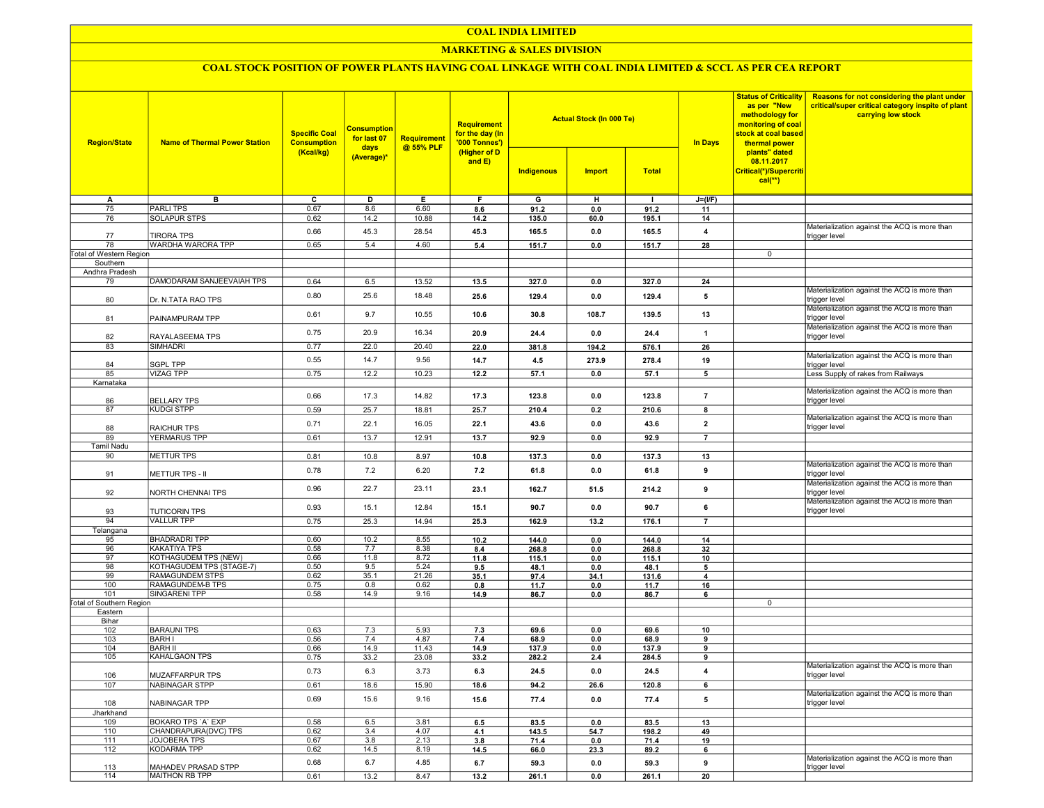## COAL INDIA LIMITED

## **MARKETING & SALES DIVISION**

# COAL STOCK POSITION OF POWER PLANTS HAVING COAL LINKAGE WITH COAL INDIA LIMITED & SCCL AS PER CEA REPORT

| <b>Region/State</b>             | <b>Name of Thermal Power Station</b>             | <b>Specific Coal</b><br><b>Consumption</b><br>(Kcal/kg) | <b>Consumption</b><br>for last 07<br>days<br>(Average)* | Requirement<br>@ 55% PLF | <b>Requirement</b><br>for the day (In<br>'000 Tonnes')<br>(Higher of D<br>and $E$ ) |              | <b>Actual Stock (In 000 Te)</b> |               | <b>Status of Criticality</b><br>as per "New<br>methodology for<br>monitoring of coal<br>stock at coal based<br><b>In Days</b><br>thermal power<br>plants" dated<br>08.11.2017 | Reasons for not considering the plant under<br>critical/super critical category inspite of plant<br>carrying low stock |                                                               |
|---------------------------------|--------------------------------------------------|---------------------------------------------------------|---------------------------------------------------------|--------------------------|-------------------------------------------------------------------------------------|--------------|---------------------------------|---------------|-------------------------------------------------------------------------------------------------------------------------------------------------------------------------------|------------------------------------------------------------------------------------------------------------------------|---------------------------------------------------------------|
|                                 |                                                  |                                                         |                                                         |                          |                                                                                     | Indigenous   | <b>Import</b>                   | <b>Total</b>  |                                                                                                                                                                               | Critical(*)/Supercriti<br>$cal$ (**)                                                                                   |                                                               |
| Α                               | в                                                | c                                                       | D                                                       | Е                        | F.                                                                                  | G            | н                               | $\mathbf{I}$  | $J=(I/F)$                                                                                                                                                                     |                                                                                                                        |                                                               |
| 75                              | <b>PARLITPS</b>                                  | 0.67                                                    | 8.6                                                     | 6.60                     | 8.6                                                                                 | 91.2         | 0.0                             | 91.2          | 11                                                                                                                                                                            |                                                                                                                        |                                                               |
| 76                              | <b>SOLAPUR STPS</b>                              | 0.62                                                    | 14.2                                                    | 10.88                    | 14.2                                                                                | 135.0        | 60.0                            | 195.1         | 14                                                                                                                                                                            |                                                                                                                        |                                                               |
| 77                              | <b>TIRORA TPS</b>                                | 0.66                                                    | 45.3                                                    | 28.54                    | 45.3                                                                                | 165.5        | 0.0                             | 165.5         | 4                                                                                                                                                                             |                                                                                                                        | Materialization against the ACQ is more than<br>trigger level |
| 78                              | WARDHA WARORA TPP                                | 0.65                                                    | 5.4                                                     | 4.60                     | 5.4                                                                                 | 151.7        | 0.0                             | 151.7         | 28                                                                                                                                                                            |                                                                                                                        |                                                               |
| <b>Total of Western Region</b>  |                                                  |                                                         |                                                         |                          |                                                                                     |              |                                 |               |                                                                                                                                                                               | $\mathbf 0$                                                                                                            |                                                               |
| Southern<br>Andhra Pradesh      |                                                  |                                                         |                                                         |                          |                                                                                     |              |                                 |               |                                                                                                                                                                               |                                                                                                                        |                                                               |
| 79                              | DAMODARAM SANJEEVAIAH TPS                        | 0.64                                                    | 6.5                                                     | 13.52                    | 13.5                                                                                | 327.0        | 0.0                             | 327.0         | 24                                                                                                                                                                            |                                                                                                                        |                                                               |
|                                 |                                                  | 0.80                                                    | 25.6                                                    | 18.48                    | 25.6                                                                                | 129.4        | 0.0                             | 129.4         | 5                                                                                                                                                                             |                                                                                                                        | Materialization against the ACQ is more than                  |
| 80                              | Dr. N.TATA RAO TPS                               |                                                         |                                                         |                          |                                                                                     |              |                                 |               |                                                                                                                                                                               |                                                                                                                        | trigger level<br>Materialization against the ACQ is more than |
| 81                              | PAINAMPURAM TPP                                  | 0.61                                                    | 9.7                                                     | 10.55                    | 10.6                                                                                | 30.8         | 108.7                           | 139.5         | 13                                                                                                                                                                            |                                                                                                                        | trigger level<br>Materialization against the ACQ is more than |
| 82                              | RAYALASEEMA TPS                                  | 0.75                                                    | 20.9                                                    | 16.34                    | 20.9                                                                                | 24.4         | 0.0                             | 24.4          | $\overline{1}$                                                                                                                                                                |                                                                                                                        | trigger level                                                 |
| 83                              | SIMHADRI                                         | 0.77                                                    | 22.0                                                    | 20.40                    | 22.0                                                                                | 381.8        | 194.2                           | 576.1         | 26                                                                                                                                                                            |                                                                                                                        | Materialization against the ACQ is more than                  |
| 84                              | <b>SGPL TPP</b>                                  | 0.55                                                    | 14.7                                                    | 9.56                     | 14.7                                                                                | 4.5          | 273.9                           | 278.4         | 19                                                                                                                                                                            |                                                                                                                        | trigger level                                                 |
| 85                              | <b>VIZAG TPP</b>                                 | 0.75                                                    | 12.2                                                    | 10.23                    | 12.2                                                                                | 57.1         | 0.0                             | 57.1          | 5                                                                                                                                                                             |                                                                                                                        | Less Supply of rakes from Railways                            |
| Karnataka                       |                                                  |                                                         |                                                         |                          |                                                                                     |              |                                 |               |                                                                                                                                                                               |                                                                                                                        | Materialization against the ACQ is more than                  |
| 86                              | <b>BELLARY TPS</b>                               | 0.66                                                    | 17.3                                                    | 14.82                    | 17.3                                                                                | 123.8        | 0.0                             | 123.8         | $\overline{7}$                                                                                                                                                                |                                                                                                                        | trigger level                                                 |
| 87                              | <b>KUDGI STPP</b>                                | 0.59                                                    | 25.7                                                    | 18.81                    | 25.7                                                                                | 210.4        | 0.2                             | 210.6         | $\overline{\mathbf{8}}$                                                                                                                                                       |                                                                                                                        | Materialization against the ACQ is more than                  |
| 88                              | <b>RAICHUR TPS</b>                               | 0.71                                                    | 22.1                                                    | 16.05                    | 22.1                                                                                | 43.6         | 0.0                             | 43.6          | $\overline{2}$                                                                                                                                                                |                                                                                                                        | trigger level                                                 |
| 89                              | <b>YERMARUS TPP</b>                              | 0.61                                                    | 13.7                                                    | 12.91                    | 13.7                                                                                | 92.9         | 0.0                             | 92.9          | $\overline{7}$                                                                                                                                                                |                                                                                                                        |                                                               |
| <b>Tamil Nadu</b>               |                                                  |                                                         |                                                         |                          |                                                                                     |              |                                 |               |                                                                                                                                                                               |                                                                                                                        |                                                               |
| 90                              | <b>METTUR TPS</b>                                | 0.81                                                    | 10.8                                                    | 8.97                     | 10.8                                                                                | 137.3        | 0.0                             | 137.3         | 13                                                                                                                                                                            |                                                                                                                        | Materialization against the ACQ is more than                  |
| 91                              | <b>METTUR TPS - II</b>                           | 0.78                                                    | 7.2                                                     | 6.20                     | 7.2                                                                                 | 61.8         | 0.0                             | 61.8          | 9                                                                                                                                                                             |                                                                                                                        | trigger level                                                 |
| 92                              | NORTH CHENNAI TPS                                | 0.96                                                    | 22.7                                                    | 23.11                    | 23.1                                                                                | 162.7        | 51.5                            | 214.2         | 9                                                                                                                                                                             |                                                                                                                        | Materialization against the ACQ is more than<br>trigger level |
| 93                              | <b>TUTICORIN TPS</b>                             | 0.93                                                    | 15.1                                                    | 12.84                    | 15.1                                                                                | 90.7         | 0.0                             | 90.7          | 6                                                                                                                                                                             |                                                                                                                        | Materialization against the ACQ is more than<br>trigger level |
| 94                              | <b>VALLUR TPP</b>                                | 0.75                                                    | 25.3                                                    | 14.94                    | 25.3                                                                                | 162.9        | 13.2                            | 176.1         | $\overline{7}$                                                                                                                                                                |                                                                                                                        |                                                               |
| Telangana                       |                                                  |                                                         |                                                         |                          |                                                                                     |              |                                 |               |                                                                                                                                                                               |                                                                                                                        |                                                               |
| 95                              | <b>BHADRADRI TPP</b>                             | 0.60                                                    | 10.2                                                    | 8.55                     | 10.2                                                                                | 144.0        | 0.0                             | 144.0         | 14                                                                                                                                                                            |                                                                                                                        |                                                               |
| 96                              | <b>KAKATIYA TPS</b>                              | 0.58                                                    | 7.7                                                     | 8.38                     | 8.4                                                                                 | 268.8        | 0.0                             | 268.8         | 32                                                                                                                                                                            |                                                                                                                        |                                                               |
| 97<br>98                        | KOTHAGUDEM TPS (NEW)<br>KOTHAGUDEM TPS (STAGE-7) | 0.66<br>0.50                                            | 11.8<br>9.5                                             | 8.72<br>5.24             | 11.8<br>9.5                                                                         | 115.1        | 0.0<br>0.0                      | 115.1<br>48.1 | 10<br>5                                                                                                                                                                       |                                                                                                                        |                                                               |
| 99                              | RAMAGUNDEM STPS                                  | 0.62                                                    | 35.1                                                    | 21.26                    | 35.1                                                                                | 48.1<br>97.4 | 34.1                            | 131.6         | 4                                                                                                                                                                             |                                                                                                                        |                                                               |
| 100                             | RAMAGUNDEM-B TPS                                 | 0.75                                                    | 0.8                                                     | 0.62                     | 0.8                                                                                 | 11.7         | 0.0                             | 11.7          | 16                                                                                                                                                                            |                                                                                                                        |                                                               |
| 101                             | SINGARENI TPP                                    | 0.58                                                    | 14.9                                                    | 9.16                     | 14.9                                                                                | 86.7         | 0.0                             | 86.7          | 6                                                                                                                                                                             |                                                                                                                        |                                                               |
| <b>Total of Southern Region</b> |                                                  |                                                         |                                                         |                          |                                                                                     |              |                                 |               |                                                                                                                                                                               | 0                                                                                                                      |                                                               |
| Eastern                         |                                                  |                                                         |                                                         |                          |                                                                                     |              |                                 |               |                                                                                                                                                                               |                                                                                                                        |                                                               |
| Bihar<br>102                    | <b>BARAUNI TPS</b>                               | 0.63                                                    | 7.3                                                     | 5.93                     | 7.3                                                                                 | 69.6         | 0.0                             | 69.6          | 10                                                                                                                                                                            |                                                                                                                        |                                                               |
| 103                             | <b>BARHI</b>                                     | 0.56                                                    | 7.4                                                     | 4.87                     | 7.4                                                                                 | 68.9         | 0.0                             | 68.9          | 9                                                                                                                                                                             |                                                                                                                        |                                                               |
| 104                             | <b>BARH II</b>                                   | 0.66                                                    | 14.9                                                    | 11.43                    | 14.9                                                                                | 137.9        | 0.0                             | 137.9         | 9                                                                                                                                                                             |                                                                                                                        |                                                               |
| 105                             | KAHALGAON TPS                                    | 0.75                                                    | 33.2                                                    | 23.08                    | 33.2                                                                                | 282.2        | 2.4                             | 284.5         | 9                                                                                                                                                                             |                                                                                                                        |                                                               |
| 106                             | <b>MUZAFFARPUR TPS</b>                           | 0.73                                                    | 6.3                                                     | 3.73                     | 6.3                                                                                 | 24.5         | 0.0                             | 24.5          | 4                                                                                                                                                                             |                                                                                                                        | Materialization against the ACQ is more than<br>trigger level |
| 107                             | NABINAGAR STPP                                   | 0.61                                                    | 18.6                                                    | 15.90                    | 18.6                                                                                | 94.2         | 26.6                            | 120.8         | 6                                                                                                                                                                             |                                                                                                                        |                                                               |
| 108                             | NABINAGAR TPP                                    | 0.69                                                    | 15.6                                                    | 9.16                     | 15.6                                                                                | 77.4         | 0.0                             | 77.4          | 5                                                                                                                                                                             |                                                                                                                        | Materialization against the ACQ is more than<br>trigger level |
| Jharkhand                       |                                                  |                                                         |                                                         |                          |                                                                                     |              |                                 |               |                                                                                                                                                                               |                                                                                                                        |                                                               |
| 109                             | BOKARO TPS 'A' EXP                               | 0.58                                                    | 6.5                                                     | 3.81                     | 6.5                                                                                 | 83.5         | 0.0                             | 83.5          | 13                                                                                                                                                                            |                                                                                                                        |                                                               |
| 110                             | CHANDRAPURA(DVC) TPS                             | 0.62                                                    | 3.4                                                     | 4.07                     | 4.1                                                                                 | 143.5        | 54.7                            | 198.2         | 49                                                                                                                                                                            |                                                                                                                        |                                                               |
| 111<br>112                      | JOJOBERA TPS<br>KODARMA TPP                      | 0.67<br>0.62                                            | 3.8<br>14.5                                             | 2.13<br>8.19             | 3.8                                                                                 | 71.4         | 0.0                             | 71.4          | 19                                                                                                                                                                            |                                                                                                                        |                                                               |
|                                 |                                                  | 0.68                                                    | 6.7                                                     | 4.85                     | 14.5<br>6.7                                                                         | 66.0<br>59.3 | 23.3<br>0.0                     | 89.2<br>59.3  | 6<br>9                                                                                                                                                                        |                                                                                                                        | Materialization against the ACQ is more than                  |
| 113<br>114                      | MAHADEV PRASAD STPP<br>MAITHON RB TPP            | 0.61                                                    | 13.2                                                    | 8.47                     | 13.2                                                                                | 261.1        | 0.0                             | 261.1         | 20                                                                                                                                                                            |                                                                                                                        | trigger level                                                 |
|                                 |                                                  |                                                         |                                                         |                          |                                                                                     |              |                                 |               |                                                                                                                                                                               |                                                                                                                        |                                                               |